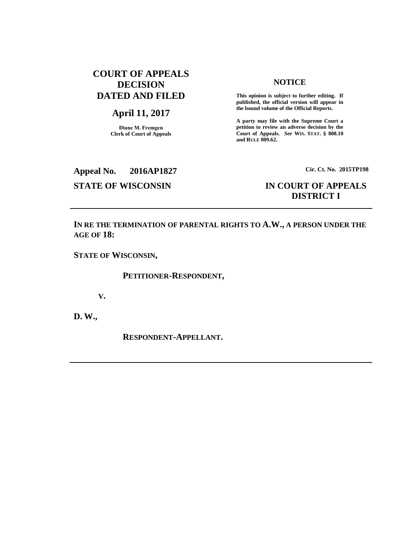# **COURT OF APPEALS DECISION DATED AND FILED**

# **April 11, 2017**

**Diane M. Fremgen Clerk of Court of Appeals**

#### **NOTICE**

**This opinion is subject to further editing. If published, the official version will appear in the bound volume of the Official Reports.** 

**A party may file with the Supreme Court a petition to review an adverse decision by the Court of Appeals.** *See* **WIS. STAT. § 808.10 and RULE 809.62.** 

# **Appeal No. 2016AP1827 Cir. Ct. No. 2015TP198**

# **STATE OF WISCONSIN IN COURT OF APPEALS DISTRICT I**

**IN RE THE TERMINATION OF PARENTAL RIGHTS TO A.W., A PERSON UNDER THE AGE OF 18:**

**STATE OF WISCONSIN,**

**PETITIONER-RESPONDENT,**

**V.**

**D. W.,**

**RESPONDENT-APPELLANT.**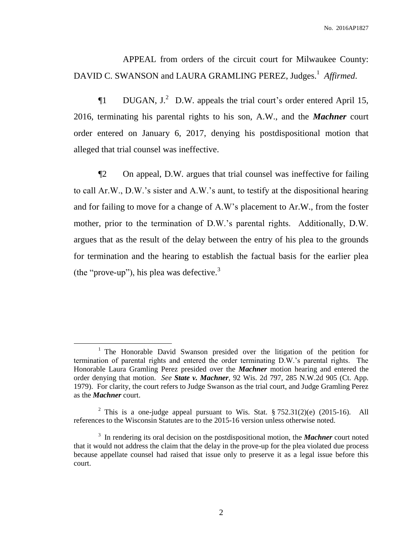APPEAL from orders of the circuit court for Milwaukee County: DAVID C. SWANSON and LAURA GRAMLING PEREZ, Judges. 1 *Affirmed*.

 $\P1$  DUGAN, J.<sup>2</sup> D.W. appeals the trial court's order entered April 15, 2016, terminating his parental rights to his son, A.W., and the *Machner* court order entered on January 6, 2017, denying his postdispositional motion that alleged that trial counsel was ineffective.

¶2 On appeal, D.W. argues that trial counsel was ineffective for failing to call Ar.W., D.W.'s sister and A.W.'s aunt, to testify at the dispositional hearing and for failing to move for a change of A.W's placement to Ar.W., from the foster mother, prior to the termination of D.W.'s parental rights. Additionally, D.W. argues that as the result of the delay between the entry of his plea to the grounds for termination and the hearing to establish the factual basis for the earlier plea (the "prove-up"), his plea was defective. $3$ 

 $\overline{a}$ 

<sup>&</sup>lt;sup>1</sup> The Honorable David Swanson presided over the litigation of the petition for termination of parental rights and entered the order terminating D.W.'s parental rights. The Honorable Laura Gramling Perez presided over the *Machner* motion hearing and entered the order denying that motion. *See State v. Machner*, 92 Wis. 2d 797, 285 N.W.2d 905 (Ct. App. 1979). For clarity, the court refers to Judge Swanson as the trial court, and Judge Gramling Perez as the *Machner* court.

<sup>&</sup>lt;sup>2</sup> This is a one-judge appeal pursuant to Wis. Stat.  $\S 752.31(2)(e)$  (2015-16). All references to the Wisconsin Statutes are to the 2015-16 version unless otherwise noted.

<sup>3</sup> In rendering its oral decision on the postdispositional motion, the *Machner* court noted that it would not address the claim that the delay in the prove-up for the plea violated due process because appellate counsel had raised that issue only to preserve it as a legal issue before this court.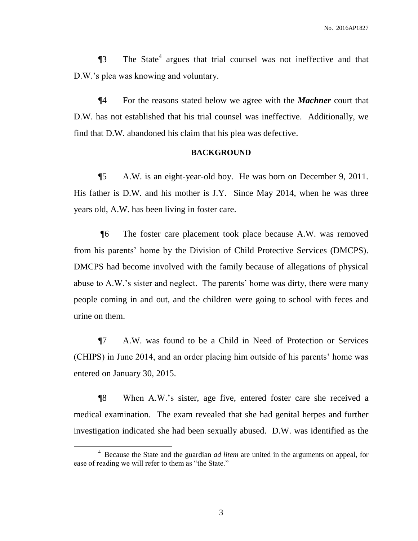$\P$ 3 The State<sup>4</sup> argues that trial counsel was not ineffective and that D.W.'s plea was knowing and voluntary.

¶4 For the reasons stated below we agree with the *Machner* court that D.W. has not established that his trial counsel was ineffective. Additionally, we find that D.W. abandoned his claim that his plea was defective.

### **BACKGROUND**

¶5 A.W. is an eight-year-old boy. He was born on December 9, 2011. His father is D.W. and his mother is J.Y. Since May 2014, when he was three years old, A.W. has been living in foster care.

¶6 The foster care placement took place because A.W. was removed from his parents' home by the Division of Child Protective Services (DMCPS). DMCPS had become involved with the family because of allegations of physical abuse to A.W.'s sister and neglect. The parents' home was dirty, there were many people coming in and out, and the children were going to school with feces and urine on them.

¶7 A.W. was found to be a Child in Need of Protection or Services (CHIPS) in June 2014, and an order placing him outside of his parents' home was entered on January 30, 2015.

¶8 When A.W.'s sister, age five, entered foster care she received a medical examination. The exam revealed that she had genital herpes and further investigation indicated she had been sexually abused. D.W. was identified as the

 $\overline{a}$ 

<sup>4</sup> Because the State and the guardian *ad litem* are united in the arguments on appeal, for ease of reading we will refer to them as "the State."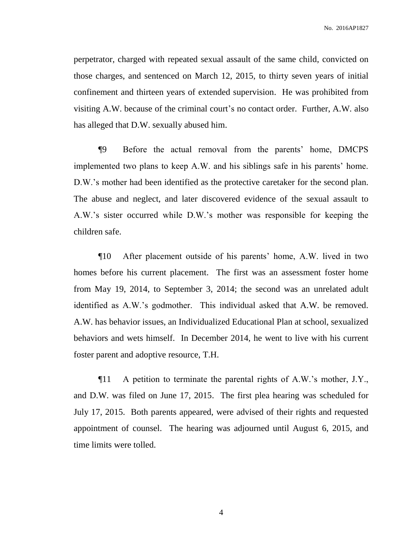perpetrator, charged with repeated sexual assault of the same child, convicted on those charges, and sentenced on March 12, 2015, to thirty seven years of initial confinement and thirteen years of extended supervision. He was prohibited from visiting A.W. because of the criminal court's no contact order. Further, A.W. also has alleged that D.W. sexually abused him.

¶9 Before the actual removal from the parents' home, DMCPS implemented two plans to keep A.W. and his siblings safe in his parents' home. D.W.'s mother had been identified as the protective caretaker for the second plan. The abuse and neglect, and later discovered evidence of the sexual assault to A.W.'s sister occurred while D.W.'s mother was responsible for keeping the children safe.

¶10 After placement outside of his parents' home, A.W. lived in two homes before his current placement. The first was an assessment foster home from May 19, 2014, to September 3, 2014; the second was an unrelated adult identified as A.W.'s godmother. This individual asked that A.W. be removed. A.W. has behavior issues, an Individualized Educational Plan at school, sexualized behaviors and wets himself. In December 2014, he went to live with his current foster parent and adoptive resource, T.H.

¶11 A petition to terminate the parental rights of A.W.'s mother, J.Y., and D.W. was filed on June 17, 2015. The first plea hearing was scheduled for July 17, 2015. Both parents appeared, were advised of their rights and requested appointment of counsel. The hearing was adjourned until August 6, 2015, and time limits were tolled.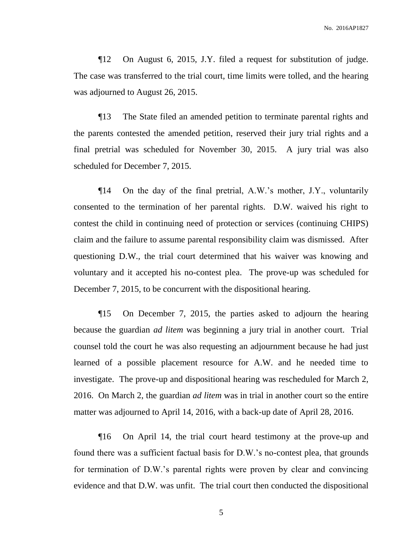¶12 On August 6, 2015, J.Y. filed a request for substitution of judge. The case was transferred to the trial court, time limits were tolled, and the hearing was adjourned to August 26, 2015.

¶13 The State filed an amended petition to terminate parental rights and the parents contested the amended petition, reserved their jury trial rights and a final pretrial was scheduled for November 30, 2015. A jury trial was also scheduled for December 7, 2015.

¶14 On the day of the final pretrial, A.W.'s mother, J.Y., voluntarily consented to the termination of her parental rights. D.W. waived his right to contest the child in continuing need of protection or services (continuing CHIPS) claim and the failure to assume parental responsibility claim was dismissed. After questioning D.W., the trial court determined that his waiver was knowing and voluntary and it accepted his no-contest plea. The prove-up was scheduled for December 7, 2015, to be concurrent with the dispositional hearing.

¶15 On December 7, 2015, the parties asked to adjourn the hearing because the guardian *ad litem* was beginning a jury trial in another court. Trial counsel told the court he was also requesting an adjournment because he had just learned of a possible placement resource for A.W. and he needed time to investigate. The prove-up and dispositional hearing was rescheduled for March 2, 2016. On March 2, the guardian *ad litem* was in trial in another court so the entire matter was adjourned to April 14, 2016, with a back-up date of April 28, 2016.

¶16 On April 14, the trial court heard testimony at the prove-up and found there was a sufficient factual basis for D.W.'s no-contest plea, that grounds for termination of D.W.'s parental rights were proven by clear and convincing evidence and that D.W. was unfit. The trial court then conducted the dispositional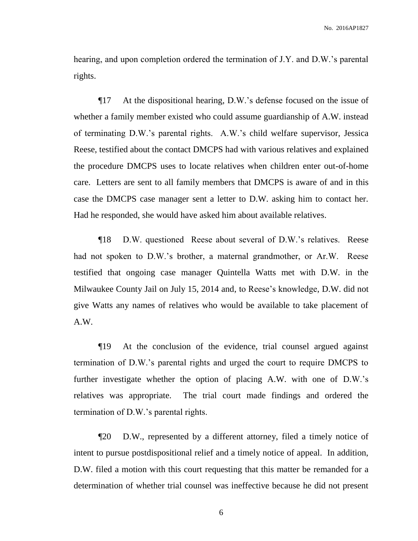hearing, and upon completion ordered the termination of J.Y. and D.W.'s parental rights.

¶17 At the dispositional hearing, D.W.'s defense focused on the issue of whether a family member existed who could assume guardianship of A.W. instead of terminating D.W.'s parental rights. A.W.'s child welfare supervisor, Jessica Reese, testified about the contact DMCPS had with various relatives and explained the procedure DMCPS uses to locate relatives when children enter out-of-home care. Letters are sent to all family members that DMCPS is aware of and in this case the DMCPS case manager sent a letter to D.W. asking him to contact her. Had he responded, she would have asked him about available relatives.

¶18 D.W. questioned Reese about several of D.W.'s relatives. Reese had not spoken to D.W.'s brother, a maternal grandmother, or Ar.W. Reese testified that ongoing case manager Quintella Watts met with D.W. in the Milwaukee County Jail on July 15, 2014 and, to Reese's knowledge, D.W. did not give Watts any names of relatives who would be available to take placement of A.W.

¶19 At the conclusion of the evidence, trial counsel argued against termination of D.W.'s parental rights and urged the court to require DMCPS to further investigate whether the option of placing A.W. with one of D.W.'s relatives was appropriate. The trial court made findings and ordered the termination of D.W.'s parental rights.

¶20 D.W., represented by a different attorney, filed a timely notice of intent to pursue postdispositional relief and a timely notice of appeal. In addition, D.W. filed a motion with this court requesting that this matter be remanded for a determination of whether trial counsel was ineffective because he did not present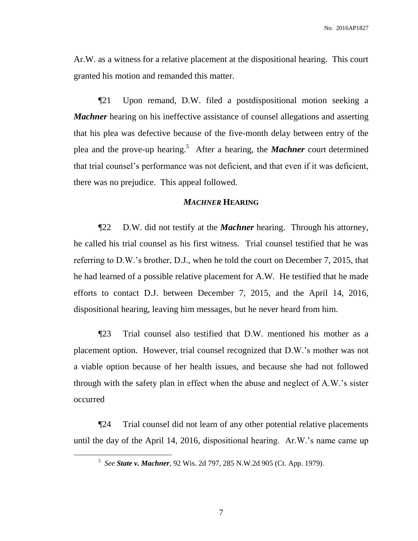Ar.W. as a witness for a relative placement at the dispositional hearing. This court granted his motion and remanded this matter.

¶21 Upon remand, D.W. filed a postdispositional motion seeking a *Machner* hearing on his ineffective assistance of counsel allegations and asserting that his plea was defective because of the five-month delay between entry of the plea and the prove-up hearing.<sup>5</sup> After a hearing, the **Machner** court determined that trial counsel's performance was not deficient, and that even if it was deficient, there was no prejudice. This appeal followed.

#### *MACHNER* **HEARING**

¶22 D.W. did not testify at the *Machner* hearing. Through his attorney, he called his trial counsel as his first witness. Trial counsel testified that he was referring to D.W.'s brother, D.J., when he told the court on December 7, 2015, that he had learned of a possible relative placement for A.W. He testified that he made efforts to contact D.J. between December 7, 2015, and the April 14, 2016, dispositional hearing, leaving him messages, but he never heard from him.

¶23 Trial counsel also testified that D.W. mentioned his mother as a placement option. However, trial counsel recognized that D.W.'s mother was not a viable option because of her health issues, and because she had not followed through with the safety plan in effect when the abuse and neglect of A.W.'s sister occurred

¶24 Trial counsel did not learn of any other potential relative placements until the day of the April 14, 2016, dispositional hearing. Ar.W.'s name came up

 $\overline{a}$ 

<sup>5</sup> *See State v. Machner*, 92 Wis. 2d 797, 285 N.W.2d 905 (Ct. App. 1979).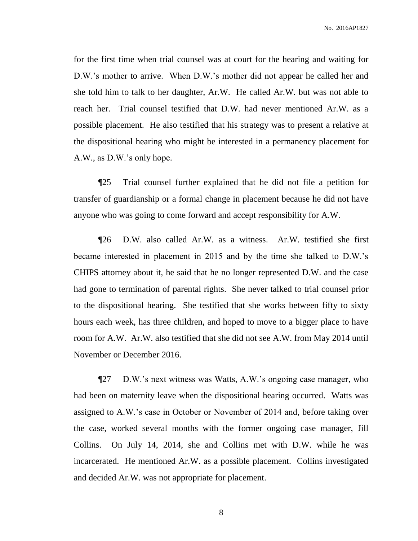for the first time when trial counsel was at court for the hearing and waiting for D.W.'s mother to arrive. When D.W.'s mother did not appear he called her and she told him to talk to her daughter, Ar.W. He called Ar.W. but was not able to reach her. Trial counsel testified that D.W. had never mentioned Ar.W. as a possible placement. He also testified that his strategy was to present a relative at the dispositional hearing who might be interested in a permanency placement for A.W., as D.W.'s only hope.

¶25 Trial counsel further explained that he did not file a petition for transfer of guardianship or a formal change in placement because he did not have anyone who was going to come forward and accept responsibility for A.W.

¶26 D.W. also called Ar.W. as a witness. Ar.W. testified she first became interested in placement in 2015 and by the time she talked to D.W.'s CHIPS attorney about it, he said that he no longer represented D.W. and the case had gone to termination of parental rights. She never talked to trial counsel prior to the dispositional hearing. She testified that she works between fifty to sixty hours each week, has three children, and hoped to move to a bigger place to have room for A.W. Ar.W. also testified that she did not see A.W. from May 2014 until November or December 2016.

¶27 D.W.'s next witness was Watts, A.W.'s ongoing case manager, who had been on maternity leave when the dispositional hearing occurred. Watts was assigned to A.W.'s case in October or November of 2014 and, before taking over the case, worked several months with the former ongoing case manager, Jill Collins. On July 14, 2014, she and Collins met with D.W. while he was incarcerated. He mentioned Ar.W. as a possible placement. Collins investigated and decided Ar.W. was not appropriate for placement.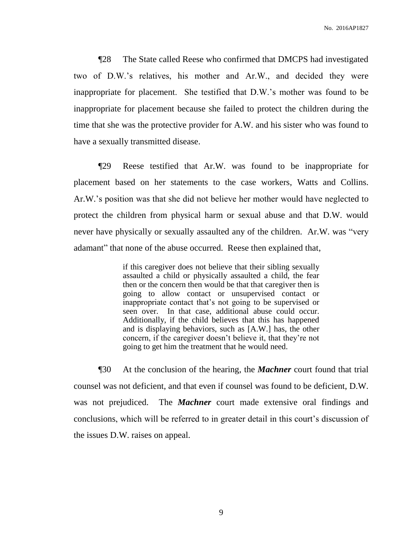¶28 The State called Reese who confirmed that DMCPS had investigated two of D.W.'s relatives, his mother and Ar.W., and decided they were inappropriate for placement. She testified that D.W.'s mother was found to be inappropriate for placement because she failed to protect the children during the time that she was the protective provider for A.W. and his sister who was found to have a sexually transmitted disease.

¶29 Reese testified that Ar.W. was found to be inappropriate for placement based on her statements to the case workers, Watts and Collins. Ar.W.'s position was that she did not believe her mother would have neglected to protect the children from physical harm or sexual abuse and that D.W. would never have physically or sexually assaulted any of the children. Ar.W. was "very adamant" that none of the abuse occurred. Reese then explained that,

> if this caregiver does not believe that their sibling sexually assaulted a child or physically assaulted a child, the fear then or the concern then would be that that caregiver then is going to allow contact or unsupervised contact or inappropriate contact that's not going to be supervised or seen over. In that case, additional abuse could occur. Additionally, if the child believes that this has happened and is displaying behaviors, such as [A.W.] has, the other concern, if the caregiver doesn't believe it, that they're not going to get him the treatment that he would need.

¶30 At the conclusion of the hearing, the *Machner* court found that trial counsel was not deficient, and that even if counsel was found to be deficient, D.W. was not prejudiced. The *Machner* court made extensive oral findings and conclusions, which will be referred to in greater detail in this court's discussion of the issues D.W. raises on appeal.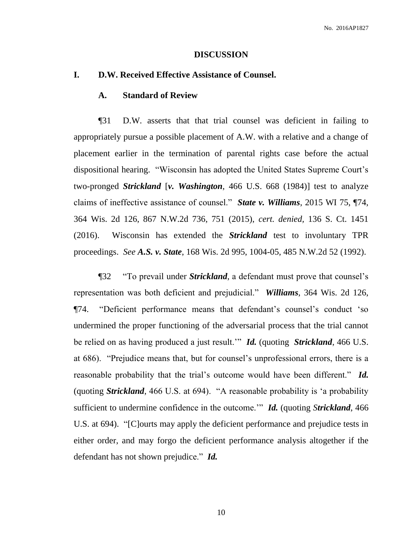#### **DISCUSSION**

#### **I. D.W. Received Effective Assistance of Counsel.**

#### **A. Standard of Review**

¶31 D.W. asserts that that trial counsel was deficient in failing to appropriately pursue a possible placement of A.W. with a relative and a change of placement earlier in the termination of parental rights case before the actual dispositional hearing. "Wisconsin has adopted the United States Supreme Court's two-pronged *Strickland* [*v. Washington*, 466 U.S. 668 (1984)] test to analyze claims of ineffective assistance of counsel." *State v. Williams*, 2015 WI 75, ¶74, 364 Wis. 2d 126, 867 N.W.2d 736, 751 (2015), *cert. denied,* 136 S. Ct. 1451 (2016). Wisconsin has extended the *Strickland* test to involuntary TPR proceedings. *See A.S. v. State*, 168 Wis. 2d 995, 1004-05, 485 N.W.2d 52 (1992).

¶32 "To prevail under *Strickland*, a defendant must prove that counsel's representation was both deficient and prejudicial." *Williams*, 364 Wis. 2d 126, ¶74. "Deficient performance means that defendant's counsel's conduct 'so undermined the proper functioning of the adversarial process that the trial cannot be relied on as having produced a just result.'" *Id.* (quoting *Strickland*, 466 U.S. at 686). "Prejudice means that, but for counsel's unprofessional errors, there is a reasonable probability that the trial's outcome would have been different." *Id.* (quoting *Strickland*, 466 U.S. at 694). "A reasonable probability is 'a probability sufficient to undermine confidence in the outcome.'" *Id.* (quoting *Strickland*, 466 U.S. at 694). "[C]ourts may apply the deficient performance and prejudice tests in either order, and may forgo the deficient performance analysis altogether if the defendant has not shown prejudice." *Id.*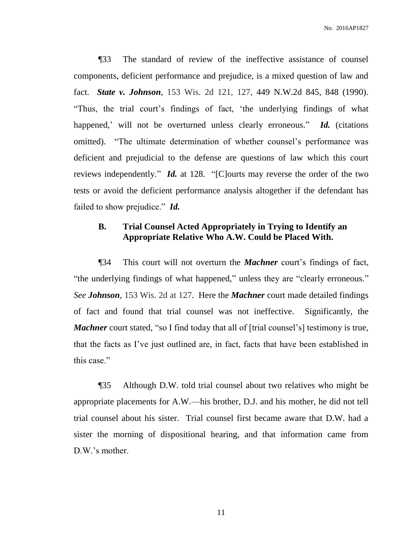¶33 The standard of review of the ineffective assistance of counsel components, deficient performance and prejudice, is a mixed question of law and fact. *State v. Johnson*, 153 Wis. 2d 121, 127, 449 N.W.2d 845, 848 (1990). "Thus, the trial court's findings of fact, 'the underlying findings of what happened,' will not be overturned unless clearly erroneous." *Id.* (citations omitted). "The ultimate determination of whether counsel's performance was deficient and prejudicial to the defense are questions of law which this court reviews independently." *Id.* at 128. "[C]ourts may reverse the order of the two tests or avoid the deficient performance analysis altogether if the defendant has failed to show prejudice." *Id.*

# **B. Trial Counsel Acted Appropriately in Trying to Identify an Appropriate Relative Who A.W. Could be Placed With.**

¶34 This court will not overturn the *Machner* court's findings of fact, "the underlying findings of what happened," unless they are "clearly erroneous." *See Johnson*, 153 Wis. 2d at 127. Here the *Machner* court made detailed findings of fact and found that trial counsel was not ineffective. Significantly, the *Machner* court stated, "so I find today that all of [trial counsel's] testimony is true, that the facts as I've just outlined are, in fact, facts that have been established in this case."

¶35 Although D.W. told trial counsel about two relatives who might be appropriate placements for A.W.—his brother, D.J. and his mother, he did not tell trial counsel about his sister. Trial counsel first became aware that D.W. had a sister the morning of dispositional hearing, and that information came from D.W.'s mother.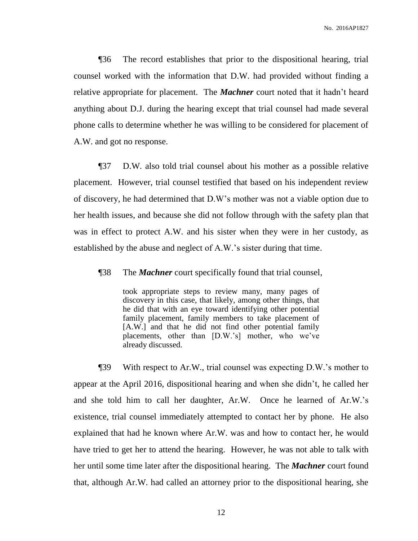¶36 The record establishes that prior to the dispositional hearing, trial counsel worked with the information that D.W. had provided without finding a relative appropriate for placement. The *Machner* court noted that it hadn't heard anything about D.J. during the hearing except that trial counsel had made several phone calls to determine whether he was willing to be considered for placement of A.W. and got no response.

¶37 D.W. also told trial counsel about his mother as a possible relative placement. However, trial counsel testified that based on his independent review of discovery, he had determined that D.W's mother was not a viable option due to her health issues, and because she did not follow through with the safety plan that was in effect to protect A.W. and his sister when they were in her custody, as established by the abuse and neglect of A.W.'s sister during that time.

¶38 The *Machner* court specifically found that trial counsel,

took appropriate steps to review many, many pages of discovery in this case, that likely, among other things, that he did that with an eye toward identifying other potential family placement, family members to take placement of [A.W.] and that he did not find other potential family placements, other than [D.W.'s] mother, who we've already discussed.

¶39 With respect to Ar.W., trial counsel was expecting D.W.'s mother to appear at the April 2016, dispositional hearing and when she didn't, he called her and she told him to call her daughter, Ar.W. Once he learned of Ar.W.'s existence, trial counsel immediately attempted to contact her by phone. He also explained that had he known where Ar.W. was and how to contact her, he would have tried to get her to attend the hearing. However, he was not able to talk with her until some time later after the dispositional hearing. The *Machner* court found that, although Ar.W. had called an attorney prior to the dispositional hearing, she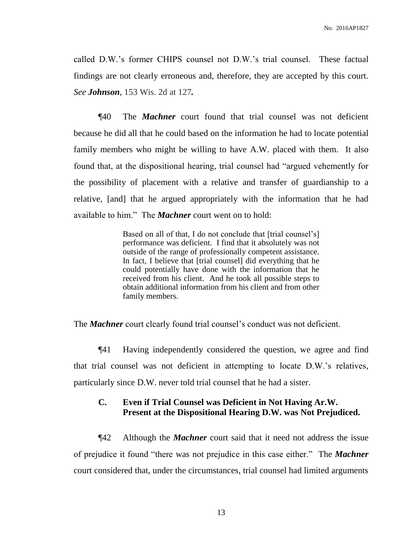called D.W.'s former CHIPS counsel not D.W.'s trial counsel. These factual findings are not clearly erroneous and, therefore, they are accepted by this court. *See Johnson*, 153 Wis. 2d at 127*.*

¶40 The *Machner* court found that trial counsel was not deficient because he did all that he could based on the information he had to locate potential family members who might be willing to have A.W. placed with them. It also found that, at the dispositional hearing, trial counsel had "argued vehemently for the possibility of placement with a relative and transfer of guardianship to a relative, [and] that he argued appropriately with the information that he had available to him." The *Machner* court went on to hold:

> Based on all of that, I do not conclude that [trial counsel's] performance was deficient. I find that it absolutely was not outside of the range of professionally competent assistance. In fact, I believe that [trial counsel] did everything that he could potentially have done with the information that he received from his client. And he took all possible steps to obtain additional information from his client and from other family members.

The *Machner* court clearly found trial counsel's conduct was not deficient.

¶41 Having independently considered the question, we agree and find that trial counsel was not deficient in attempting to locate D.W.'s relatives, particularly since D.W. never told trial counsel that he had a sister.

# **C. Even if Trial Counsel was Deficient in Not Having Ar.W. Present at the Dispositional Hearing D.W. was Not Prejudiced.**

¶42 Although the *Machner* court said that it need not address the issue of prejudice it found "there was not prejudice in this case either." The *Machner* court considered that, under the circumstances, trial counsel had limited arguments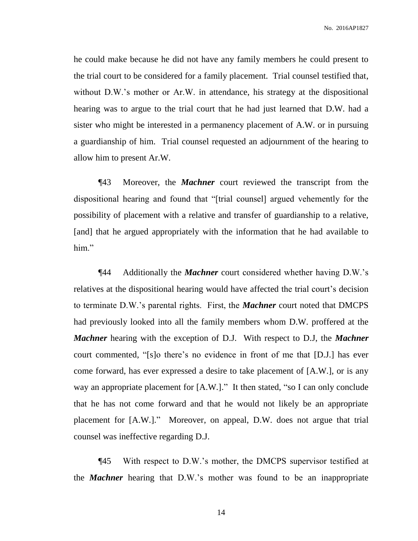he could make because he did not have any family members he could present to the trial court to be considered for a family placement. Trial counsel testified that, without D.W.'s mother or Ar.W. in attendance, his strategy at the dispositional hearing was to argue to the trial court that he had just learned that D.W. had a sister who might be interested in a permanency placement of A.W. or in pursuing a guardianship of him. Trial counsel requested an adjournment of the hearing to allow him to present Ar.W.

¶43 Moreover, the *Machner* court reviewed the transcript from the dispositional hearing and found that "[trial counsel] argued vehemently for the possibility of placement with a relative and transfer of guardianship to a relative, [and] that he argued appropriately with the information that he had available to him."

¶44 Additionally the *Machner* court considered whether having D.W.'s relatives at the dispositional hearing would have affected the trial court's decision to terminate D.W.'s parental rights. First, the *Machner* court noted that DMCPS had previously looked into all the family members whom D.W. proffered at the *Machner* hearing with the exception of D.J. With respect to D.J, the *Machner* court commented, "[s]o there's no evidence in front of me that [D.J.] has ever come forward, has ever expressed a desire to take placement of [A.W.], or is any way an appropriate placement for [A.W.]." It then stated, "so I can only conclude that he has not come forward and that he would not likely be an appropriate placement for [A.W.]." Moreover, on appeal, D.W. does not argue that trial counsel was ineffective regarding D.J.

¶45 With respect to D.W.'s mother, the DMCPS supervisor testified at the *Machner* hearing that D.W.'s mother was found to be an inappropriate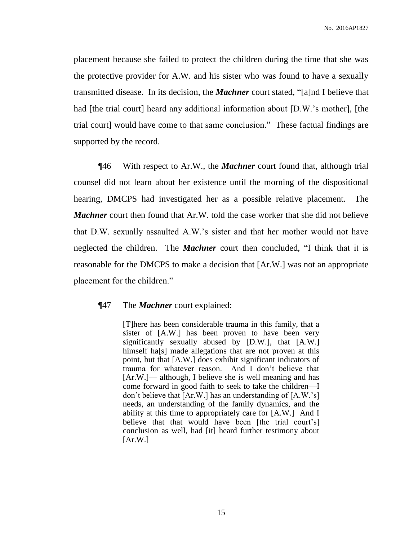placement because she failed to protect the children during the time that she was the protective provider for A.W. and his sister who was found to have a sexually transmitted disease. In its decision, the *Machner* court stated, "[a]nd I believe that had [the trial court] heard any additional information about [D.W.'s mother], [the trial court] would have come to that same conclusion." These factual findings are supported by the record.

¶46 With respect to Ar.W., the *Machner* court found that, although trial counsel did not learn about her existence until the morning of the dispositional hearing, DMCPS had investigated her as a possible relative placement. The *Machner* court then found that Ar.W. told the case worker that she did not believe that D.W. sexually assaulted A.W.'s sister and that her mother would not have neglected the children. The *Machner* court then concluded, "I think that it is reasonable for the DMCPS to make a decision that [Ar.W.] was not an appropriate placement for the children."

#### ¶47 The *Machner* court explained:

[T]here has been considerable trauma in this family, that a sister of [A.W.] has been proven to have been very significantly sexually abused by [D.W.], that [A.W.] himself ha<sup>[s]</sup> made allegations that are not proven at this point, but that [A.W.] does exhibit significant indicators of trauma for whatever reason. And I don't believe that [Ar.W.]— although, I believe she is well meaning and has come forward in good faith to seek to take the children—I don't believe that [Ar.W.] has an understanding of [A.W.'s] needs, an understanding of the family dynamics, and the ability at this time to appropriately care for [A.W.] And I believe that that would have been [the trial court's] conclusion as well, had [it] heard further testimony about  $[Ar.W.]$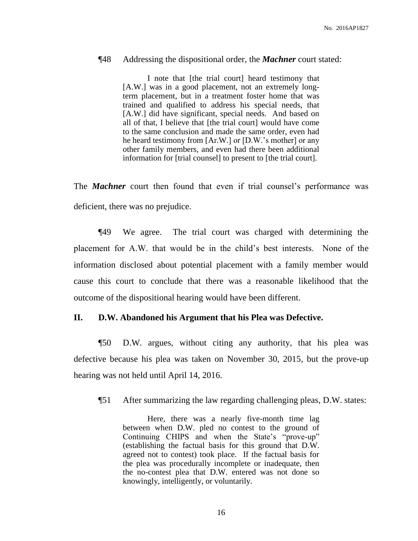#### ¶48 Addressing the dispositional order, the *Machner* court stated:

I note that [the trial court] heard testimony that [A.W.] was in a good placement, not an extremely longterm placement, but in a treatment foster home that was trained and qualified to address his special needs, that [A.W.] did have significant, special needs. And based on all of that, I believe that [the trial court] would have come to the same conclusion and made the same order, even had he heard testimony from [Ar.W.] or [D.W.'s mother] or any other family members, and even had there been additional information for [trial counsel] to present to [the trial court].

The *Machner* court then found that even if trial counsel's performance was deficient, there was no prejudice.

¶49 We agree. The trial court was charged with determining the placement for A.W. that would be in the child's best interests. None of the information disclosed about potential placement with a family member would cause this court to conclude that there was a reasonable likelihood that the outcome of the dispositional hearing would have been different.

## **II. D.W. Abandoned his Argument that his Plea was Defective.**

¶50 D.W. argues, without citing any authority, that his plea was defective because his plea was taken on November 30, 2015, but the prove-up hearing was not held until April 14, 2016.

¶51 After summarizing the law regarding challenging pleas, D.W. states:

Here, there was a nearly five-month time lag between when D.W. pled no contest to the ground of Continuing CHIPS and when the State's "prove-up" (establishing the factual basis for this ground that D.W. agreed not to contest) took place. If the factual basis for the plea was procedurally incomplete or inadequate, then the no-contest plea that D.W. entered was not done so knowingly, intelligently, or voluntarily.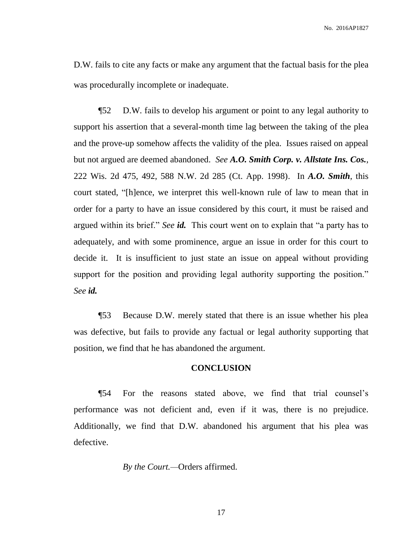D.W. fails to cite any facts or make any argument that the factual basis for the plea was procedurally incomplete or inadequate.

¶52 D.W. fails to develop his argument or point to any legal authority to support his assertion that a several-month time lag between the taking of the plea and the prove-up somehow affects the validity of the plea. Issues raised on appeal but not argued are deemed abandoned. *See A.O. Smith Corp. v. Allstate Ins. Cos.*, 222 Wis. 2d 475, 492, 588 N.W. 2d 285 (Ct. App. 1998). In *A.O. Smith*, this court stated, "[h]ence, we interpret this well-known rule of law to mean that in order for a party to have an issue considered by this court, it must be raised and argued within its brief." *See id.* This court went on to explain that "a party has to adequately, and with some prominence, argue an issue in order for this court to decide it. It is insufficient to just state an issue on appeal without providing support for the position and providing legal authority supporting the position." *See id.*

¶53 Because D.W. merely stated that there is an issue whether his plea was defective, but fails to provide any factual or legal authority supporting that position, we find that he has abandoned the argument.

### **CONCLUSION**

¶54 For the reasons stated above, we find that trial counsel's performance was not deficient and, even if it was, there is no prejudice. Additionally, we find that D.W. abandoned his argument that his plea was defective.

*By the Court.—*Orders affirmed.